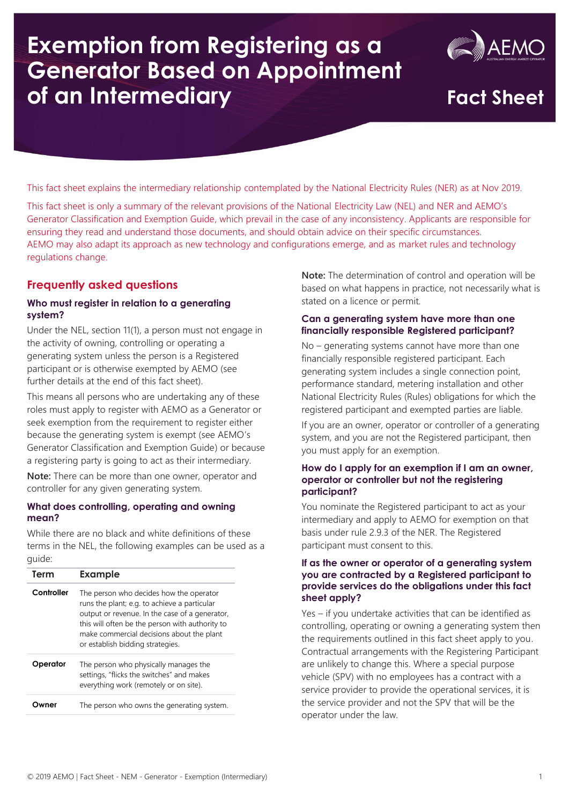# **Exemption from Registering as a Generator Based on Appointment of an Intermediary Fact Sheet**



This fact sheet explains the intermediary relationship contemplated by the National Electricity Rules (NER) as at Nov 2019.

This fact sheet is only a summary of the relevant provisions of the National Electricity Law (NEL) and NER and AEMO's Generator Classification and Exemption Guide, which prevail in the case of any inconsistency. Applicants are responsible for ensuring they read and understand those documents, and should obtain advice on their specific circumstances. AEMO may also adapt its approach as new technology and configurations emerge, and as market rules and technology regulations change.

# **Frequently asked questions**

# **Who must register in relation to a generating system?**

Under the NEL, section 11(1), a person must not engage in the activity of owning, controlling or operating a generating system unless the person is a Registered participant or is otherwise exempted by AEMO (see further details at the end of this fact sheet).

This means all persons who are undertaking any of these roles must apply to register with AEMO as a Generator or seek exemption from the requirement to register either because the generating system is exempt (see AEMO's Generator Classification and Exemption Guide) or because a registering party is going to act as their intermediary.

**Note:** There can be more than one owner, operator and controller for any given generating system.

# **What does controlling, operating and owning mean?**

While there are no black and white definitions of these terms in the NEL, the following examples can be used as a guide:

| Term       | <b>Example</b>                                                                                                                                                                                                                                                                |
|------------|-------------------------------------------------------------------------------------------------------------------------------------------------------------------------------------------------------------------------------------------------------------------------------|
| Controller | The person who decides how the operator<br>runs the plant; e.g. to achieve a particular<br>output or revenue. In the case of a generator,<br>this will often be the person with authority to<br>make commercial decisions about the plant<br>or establish bidding strategies. |
| Operator   | The person who physically manages the<br>settings, "flicks the switches" and makes<br>everything work (remotely or on site).                                                                                                                                                  |
| vner       | The person who owns the generating system.                                                                                                                                                                                                                                    |

**Note:** The determination of control and operation will be based on what happens in practice, not necessarily what is stated on a licence or permit.

# **Can a generating system have more than one financially responsible Registered participant?**

No – generating systems cannot have more than one financially responsible registered participant. Each generating system includes a single connection point, performance standard, metering installation and other National Electricity Rules (Rules) obligations for which the registered participant and exempted parties are liable.

If you are an owner, operator or controller of a generating system, and you are not the Registered participant, then you must apply for an exemption.

# **How do I apply for an exemption if I am an owner, operator or controller but not the registering participant?**

You nominate the Registered participant to act as your intermediary and apply to AEMO for exemption on that basis under rule 2.9.3 of the NER. The Registered participant must consent to this.

# **If as the owner or operator of a generating system you are contracted by a Registered participant to provide services do the obligations under this fact sheet apply?**

Yes – if you undertake activities that can be identified as controlling, operating or owning a generating system then the requirements outlined in this fact sheet apply to you. Contractual arrangements with the Registering Participant are unlikely to change this. Where a special purpose vehicle (SPV) with no employees has a contract with a service provider to provide the operational services, it is the service provider and not the SPV that will be the operator under the law.